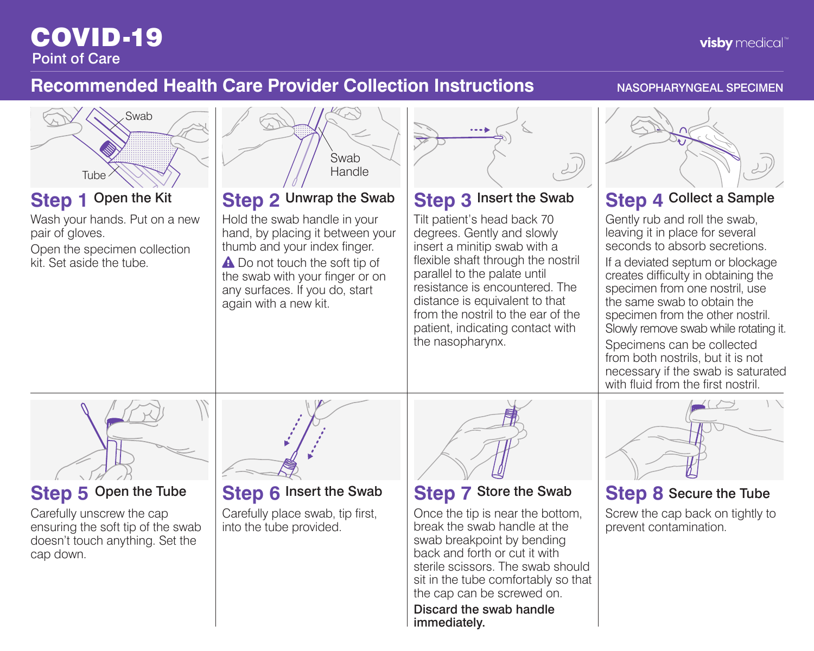## COVID-19 Point of Care

# **Recommended Health Care Provider Collection Instructions** NASOPHARYNGEAL SPECIMEN



**visby** medical"